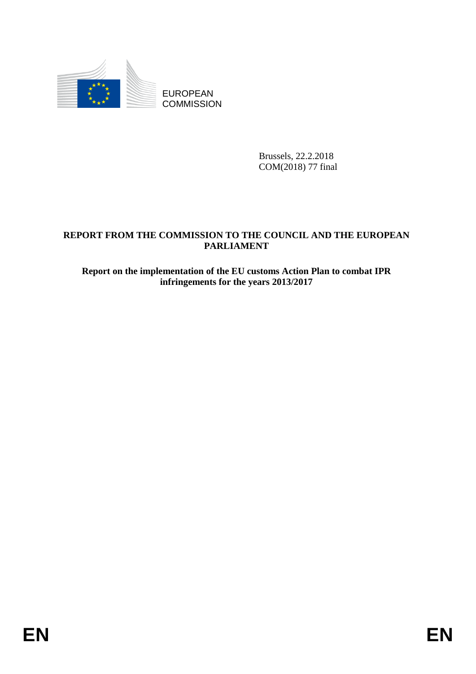

**COMMISSION** 

Brussels, 22.2.2018 COM(2018) 77 final

# EUROPEAN<br>
EUROPEAN<br>
ENERGY THE COMMISSION<br>
REPORT FROM THE COMMISSION<br>
TARITAMENT<br> **ENERGY THE COMMISSION TO THE COUNCIL AND THE EUROPEAN<br>
FARITAMENT<br>
FREQUE TO COMMISSION OF THE FU COMMISSION ACTION<br>
Intringeneous for the REPORT FROM THE COMMISSION TO THE COUNCIL AND THE EUROPEAN PARLIAMENT**

## **Report on the implementation of the EU customs Action Plan to combat IPR infringements for the years 2013/2017**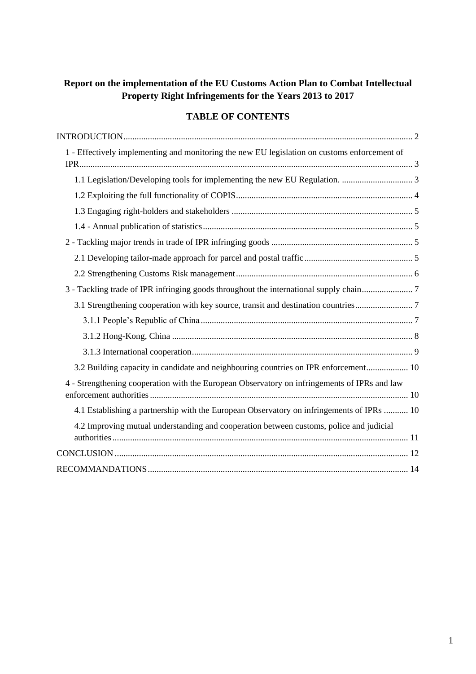# **Report on the implementation of the EU Customs Action Plan to Combat Intellectual Property Right Infringements for the Years 2013 to 2017**

# **TABLE OF CONTENTS**

| 1 - Effectively implementing and monitoring the new EU legislation on customs enforcement of |
|----------------------------------------------------------------------------------------------|
|                                                                                              |
|                                                                                              |
|                                                                                              |
|                                                                                              |
|                                                                                              |
|                                                                                              |
|                                                                                              |
|                                                                                              |
|                                                                                              |
|                                                                                              |
|                                                                                              |
|                                                                                              |
| 3.2 Building capacity in candidate and neighbouring countries on IPR enforcement 10          |
| 4 - Strengthening cooperation with the European Observatory on infringements of IPRs and law |
| 4.1 Establishing a partnership with the European Observatory on infringements of IPRs  10    |
| 4.2 Improving mutual understanding and cooperation between customs, police and judicial      |
|                                                                                              |
|                                                                                              |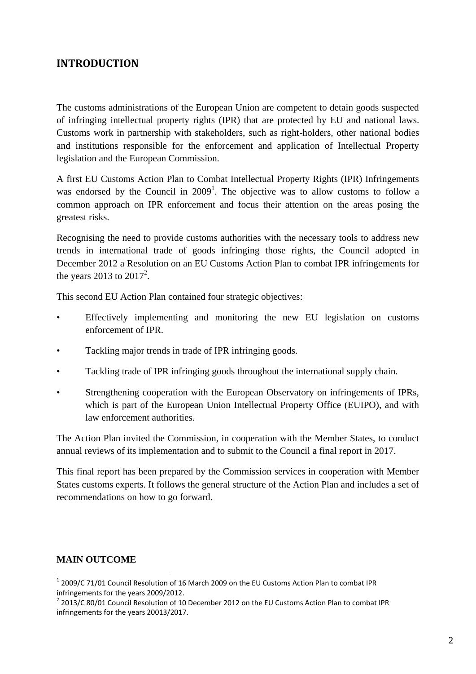# <span id="page-2-0"></span>**INTRODUCTION**

The customs administrations of the European Union are competent to detain goods suspected of infringing intellectual property rights (IPR) that are protected by EU and national laws. Customs work in partnership with stakeholders, such as right-holders, other national bodies and institutions responsible for the enforcement and application of Intellectual Property legislation and the European Commission.

A first EU Customs Action Plan to Combat Intellectual Property Rights (IPR) Infringements was endorsed by the Council in  $2009<sup>1</sup>$ . The objective was to allow customs to follow a common approach on IPR enforcement and focus their attention on the areas posing the greatest risks.

Recognising the need to provide customs authorities with the necessary tools to address new trends in international trade of goods infringing those rights, the Council adopted in December 2012 a Resolution on an EU Customs Action Plan to combat IPR infringements for the years 2013 to  $2017^2$ .

This second EU Action Plan contained four strategic objectives:

- Effectively implementing and monitoring the new EU legislation on customs enforcement of IPR.
- Tackling major trends in trade of IPR infringing goods.
- Tackling trade of IPR infringing goods throughout the international supply chain.
- Strengthening cooperation with the European Observatory on infringements of IPRs, which is part of the European Union Intellectual Property Office (EUIPO), and with law enforcement authorities.

The Action Plan invited the Commission, in cooperation with the Member States, to conduct annual reviews of its implementation and to submit to the Council a final report in 2017.

This final report has been prepared by the Commission services in cooperation with Member States customs experts. It follows the general structure of the Action Plan and includes a set of recommendations on how to go forward.

## **MAIN OUTCOME**

1

 $1$  2009/C 71/01 Council Resolution of 16 March 2009 on the EU Customs Action Plan to combat IPR infringements for the years 2009/2012.

<sup>&</sup>lt;sup>2</sup> 2013/C 80/01 Council Resolution of 10 December 2012 on the EU Customs Action Plan to combat IPR infringements for the years 20013/2017.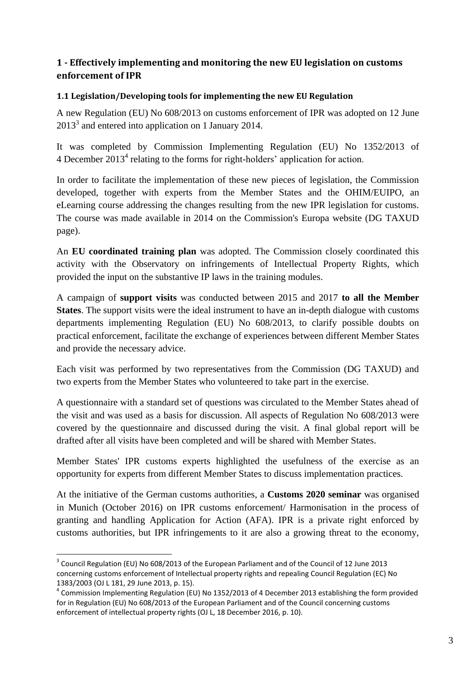# <span id="page-3-0"></span>**1 - Effectively implementing and monitoring the new EU legislation on customs enforcement of IPR**

#### <span id="page-3-1"></span>**1.1 Legislation/Developing tools for implementing the new EU Regulation**

A new Regulation (EU) No 608/2013 on customs enforcement of IPR was adopted on 12 June  $2013<sup>3</sup>$  and entered into application on 1 January 2014.

It was completed by Commission Implementing Regulation (EU) No 1352/2013 of 4 December 2013<sup>4</sup> relating to the forms for right-holders' application for action.

In order to facilitate the implementation of these new pieces of legislation, the Commission developed, together with experts from the Member States and the OHIM/EUIPO, an eLearning course addressing the changes resulting from the new IPR legislation for customs. The course was made available in 2014 on the Commission's Europa website (DG TAXUD page).

An **EU coordinated training plan** was adopted. The Commission closely coordinated this activity with the Observatory on infringements of Intellectual Property Rights, which provided the input on the substantive IP laws in the training modules.

A campaign of **support visits** was conducted between 2015 and 2017 **to all the Member States**. The support visits were the ideal instrument to have an in-depth dialogue with customs departments implementing Regulation (EU) No 608/2013, to clarify possible doubts on practical enforcement, facilitate the exchange of experiences between different Member States and provide the necessary advice.

Each visit was performed by two representatives from the Commission (DG TAXUD) and two experts from the Member States who volunteered to take part in the exercise.

A questionnaire with a standard set of questions was circulated to the Member States ahead of the visit and was used as a basis for discussion. All aspects of Regulation No 608/2013 were covered by the questionnaire and discussed during the visit. A final global report will be drafted after all visits have been completed and will be shared with Member States.

Member States' IPR customs experts highlighted the usefulness of the exercise as an opportunity for experts from different Member States to discuss implementation practices.

At the initiative of the German customs authorities, a **Customs 2020 seminar** was organised in Munich (October 2016) on IPR customs enforcement/ Harmonisation in the process of granting and handling Application for Action (AFA). IPR is a private right enforced by customs authorities, but IPR infringements to it are also a growing threat to the economy,

**.** 

<sup>&</sup>lt;sup>3</sup> Council Regulation (EU) No 608/2013 of the European Parliament and of the Council of 12 June 2013 concerning customs enforcement of Intellectual property rights and repealing Council Regulation (EC) No 1383/2003 (OJ L 181, 29 June 2013, p. 15).

<sup>&</sup>lt;sup>4</sup> Commission Implementing Regulation (EU) No 1352/2013 of 4 December 2013 establishing the form provided for in Regulation (EU) No 608/2013 of the European Parliament and of the Council concerning customs enforcement of intellectual property rights (OJ L, 18 December 2016, p. 10).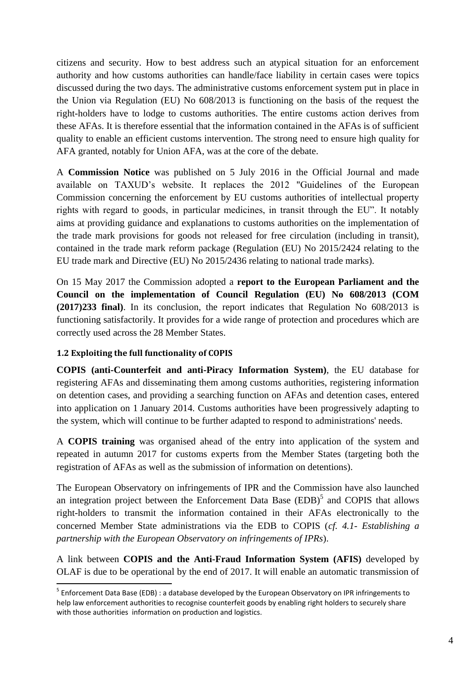citizens and security. How to best address such an atypical situation for an enforcement authority and how customs authorities can handle/face liability in certain cases were topics discussed during the two days. The administrative customs enforcement system put in place in the Union via Regulation (EU) No 608/2013 is functioning on the basis of the request the right-holders have to lodge to customs authorities. The entire customs action derives from these AFAs. It is therefore essential that the information contained in the AFAs is of sufficient quality to enable an efficient customs intervention. The strong need to ensure high quality for AFA granted, notably for Union AFA, was at the core of the debate.

A **Commission Notice** was published on 5 July 2016 in the Official Journal and made available on TAXUD's website. It replaces the 2012 "Guidelines of the European Commission concerning the enforcement by EU customs authorities of intellectual property rights with regard to goods, in particular medicines, in transit through the EU". It notably aims at providing guidance and explanations to customs authorities on the implementation of the trade mark provisions for goods not released for free circulation (including in transit), contained in the trade mark reform package (Regulation (EU) No 2015/2424 relating to the EU trade mark and Directive (EU) No 2015/2436 relating to national trade marks).

On 15 May 2017 the Commission adopted a **report to the European Parliament and the Council on the implementation of Council Regulation (EU) No 608/2013 (COM (2017)233 final)**. In its conclusion, the report indicates that Regulation No 608/2013 is functioning satisfactorily. It provides for a wide range of protection and procedures which are correctly used across the 28 Member States.

## <span id="page-4-0"></span>**1.2 Exploiting the full functionality of COPIS**

**COPIS (anti-Counterfeit and anti-Piracy Information System)**, the EU database for registering AFAs and disseminating them among customs authorities, registering information on detention cases, and providing a searching function on AFAs and detention cases, entered into application on 1 January 2014. Customs authorities have been progressively adapting to the system, which will continue to be further adapted to respond to administrations' needs.

A **COPIS training** was organised ahead of the entry into application of the system and repeated in autumn 2017 for customs experts from the Member States (targeting both the registration of AFAs as well as the submission of information on detentions).

The European Observatory on infringements of IPR and the Commission have also launched an integration project between the Enforcement Data Base  $(EDB)^5$  and COPIS that allows right-holders to transmit the information contained in their AFAs electronically to the concerned Member State administrations via the EDB to COPIS (*cf. 4.1- Establishing a partnership with the European Observatory on infringements of IPRs*).

A link between **COPIS and the Anti-Fraud Information System (AFIS)** developed by OLAF is due to be operational by the end of 2017. It will enable an automatic transmission of

**<sup>.</sup>** <sup>5</sup> Enforcement Data Base (EDB) : a database developed by the European Observatory on IPR infringements to help law enforcement authorities to recognise counterfeit goods by enabling right holders to securely share with those authorities information on production and logistics.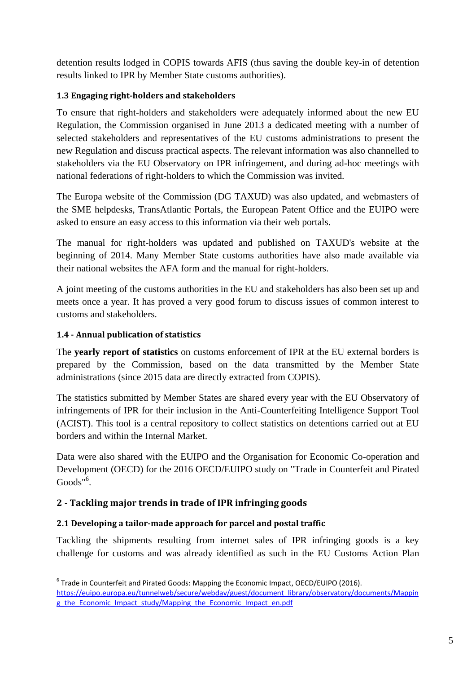detention results lodged in COPIS towards AFIS (thus saving the double key-in of detention results linked to IPR by Member State customs authorities).

# <span id="page-5-0"></span>**1.3 Engaging right-holders and stakeholders**

To ensure that right-holders and stakeholders were adequately informed about the new EU Regulation, the Commission organised in June 2013 a dedicated meeting with a number of selected stakeholders and representatives of the EU customs administrations to present the new Regulation and discuss practical aspects. The relevant information was also channelled to stakeholders via the EU Observatory on IPR infringement, and during ad-hoc meetings with national federations of right-holders to which the Commission was invited.

The Europa website of the Commission (DG TAXUD) was also updated, and webmasters of the SME helpdesks, TransAtlantic Portals, the European Patent Office and the EUIPO were asked to ensure an easy access to this information via their web portals.

The manual for right-holders was updated and published on TAXUD's website at the beginning of 2014. Many Member State customs authorities have also made available via their national websites the AFA form and the manual for right-holders.

A joint meeting of the customs authorities in the EU and stakeholders has also been set up and meets once a year. It has proved a very good forum to discuss issues of common interest to customs and stakeholders.

# <span id="page-5-1"></span>**1.4 - Annual publication of statistics**

1

The **yearly report of statistics** on customs enforcement of IPR at the EU external borders is prepared by the Commission, based on the data transmitted by the Member State administrations (since 2015 data are directly extracted from COPIS).

The statistics submitted by Member States are shared every year with the EU Observatory of infringements of IPR for their inclusion in the Anti-Counterfeiting Intelligence Support Tool (ACIST). This tool is a central repository to collect statistics on detentions carried out at EU borders and within the Internal Market.

Data were also shared with the EUIPO and the Organisation for Economic Co-operation and Development (OECD) for the 2016 OECD/EUIPO study on "Trade in Counterfeit and Pirated Goods"<sup>6</sup>.

# <span id="page-5-2"></span>**2 - Tackling major trends in trade of IPR infringing goods**

# <span id="page-5-3"></span>**2.1 Developing a tailor-made approach for parcel and postal traffic**

Tackling the shipments resulting from internet sales of IPR infringing goods is a key challenge for customs and was already identified as such in the EU Customs Action Plan

<sup>&</sup>lt;sup>6</sup> Trade in Counterfeit and Pirated Goods: Mapping the Economic Impact, OECD/EUIPO (2016). [https://euipo.europa.eu/tunnelweb/secure/webdav/guest/document\\_library/observatory/documents/Mappin](https://euipo.europa.eu/tunnelweb/secure/webdav/guest/document_library/observatory/documents/Mapping_the_Economic_Impact_study/Mapping_the_Economic_Impact_en.pdf) [g\\_the\\_Economic\\_Impact\\_study/Mapping\\_the\\_Economic\\_Impact\\_en.pdf](https://euipo.europa.eu/tunnelweb/secure/webdav/guest/document_library/observatory/documents/Mapping_the_Economic_Impact_study/Mapping_the_Economic_Impact_en.pdf)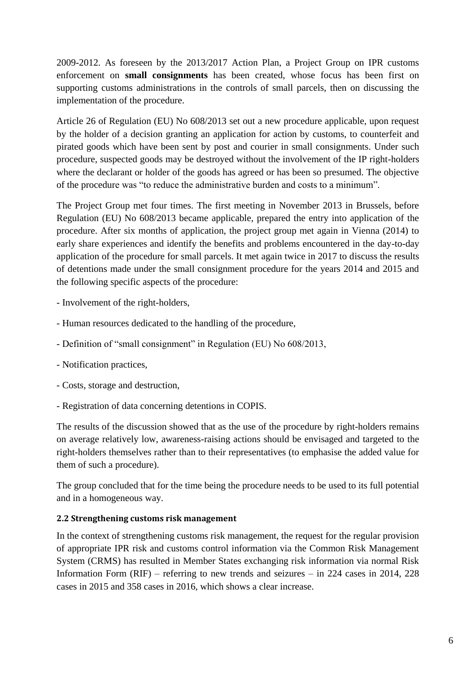2009-2012. As foreseen by the 2013/2017 Action Plan, a Project Group on IPR customs enforcement on **small consignments** has been created, whose focus has been first on supporting customs administrations in the controls of small parcels, then on discussing the implementation of the procedure.

Article 26 of Regulation (EU) No 608/2013 set out a new procedure applicable, upon request by the holder of a decision granting an application for action by customs, to counterfeit and pirated goods which have been sent by post and courier in small consignments. Under such procedure, suspected goods may be destroyed without the involvement of the IP right-holders where the declarant or holder of the goods has agreed or has been so presumed. The objective of the procedure was "to reduce the administrative burden and costs to a minimum".

The Project Group met four times. The first meeting in November 2013 in Brussels, before Regulation (EU) No 608/2013 became applicable, prepared the entry into application of the procedure. After six months of application, the project group met again in Vienna (2014) to early share experiences and identify the benefits and problems encountered in the day-to-day application of the procedure for small parcels. It met again twice in 2017 to discuss the results of detentions made under the small consignment procedure for the years 2014 and 2015 and the following specific aspects of the procedure:

- Involvement of the right-holders,
- Human resources dedicated to the handling of the procedure,
- Definition of "small consignment" in Regulation (EU) No 608/2013,
- Notification practices,
- Costs, storage and destruction,
- Registration of data concerning detentions in COPIS.

The results of the discussion showed that as the use of the procedure by right-holders remains on average relatively low, awareness-raising actions should be envisaged and targeted to the right-holders themselves rather than to their representatives (to emphasise the added value for them of such a procedure).

The group concluded that for the time being the procedure needs to be used to its full potential and in a homogeneous way.

#### <span id="page-6-0"></span>**2.2 Strengthening customs risk management**

In the context of strengthening customs risk management, the request for the regular provision of appropriate IPR risk and customs control information via the Common Risk Management System (CRMS) has resulted in Member States exchanging risk information via normal Risk Information Form (RIF) – referring to new trends and seizures – in 224 cases in 2014, 228 cases in 2015 and 358 cases in 2016, which shows a clear increase.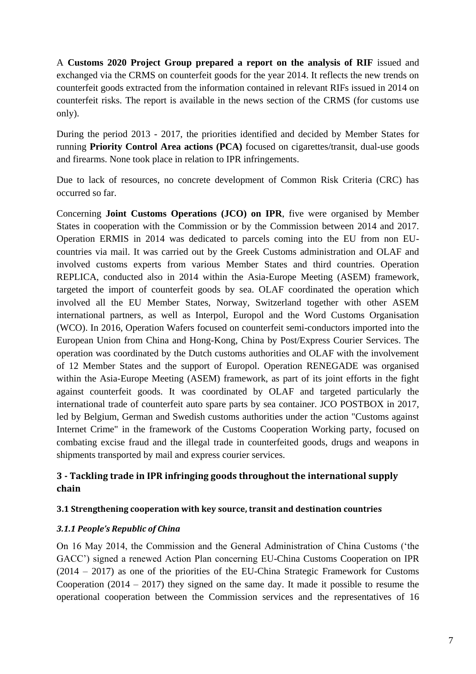A **Customs 2020 Project Group prepared a report on the analysis of RIF** issued and exchanged via the CRMS on counterfeit goods for the year 2014. It reflects the new trends on counterfeit goods extracted from the information contained in relevant RIFs issued in 2014 on counterfeit risks. The report is available in the news section of the CRMS (for customs use only).

During the period 2013 - 2017, the priorities identified and decided by Member States for running **Priority Control Area actions (PCA)** focused on cigarettes/transit, dual-use goods and firearms. None took place in relation to IPR infringements.

Due to lack of resources, no concrete development of Common Risk Criteria (CRC) has occurred so far.

Concerning **Joint Customs Operations (JCO) on IPR**, five were organised by Member States in cooperation with the Commission or by the Commission between 2014 and 2017. Operation ERMIS in 2014 was dedicated to parcels coming into the EU from non EUcountries via mail. It was carried out by the Greek Customs administration and OLAF and involved customs experts from various Member States and third countries. Operation REPLICA, conducted also in 2014 within the Asia-Europe Meeting (ASEM) framework, targeted the import of counterfeit goods by sea. OLAF coordinated the operation which involved all the EU Member States, Norway, Switzerland together with other ASEM international partners, as well as Interpol, Europol and the Word Customs Organisation (WCO). In 2016, Operation Wafers focused on counterfeit semi-conductors imported into the European Union from China and Hong-Kong, China by Post/Express Courier Services. The operation was coordinated by the Dutch customs authorities and OLAF with the involvement of 12 Member States and the support of Europol. Operation RENEGADE was organised within the Asia-Europe Meeting (ASEM) framework, as part of its joint efforts in the fight against counterfeit goods. It was coordinated by OLAF and targeted particularly the international trade of counterfeit auto spare parts by sea container. JCO POSTBOX in 2017, led by Belgium, German and Swedish customs authorities under the action "Customs against Internet Crime" in the framework of the Customs Cooperation Working party, focused on combating excise fraud and the illegal trade in counterfeited goods, drugs and weapons in shipments transported by mail and express courier services.

# <span id="page-7-0"></span>**3 - Tackling trade in IPR infringing goods throughout the international supply chain**

#### <span id="page-7-1"></span>**3.1 Strengthening cooperation with key source, transit and destination countries**

## <span id="page-7-2"></span>*3.1.1 People's Republic of China*

On 16 May 2014, the Commission and the General Administration of China Customs ('the GACC') signed a renewed Action Plan concerning EU-China Customs Cooperation on IPR (2014 – 2017) as one of the priorities of the EU-China Strategic Framework for Customs Cooperation  $(2014 - 2017)$  they signed on the same day. It made it possible to resume the operational cooperation between the Commission services and the representatives of 16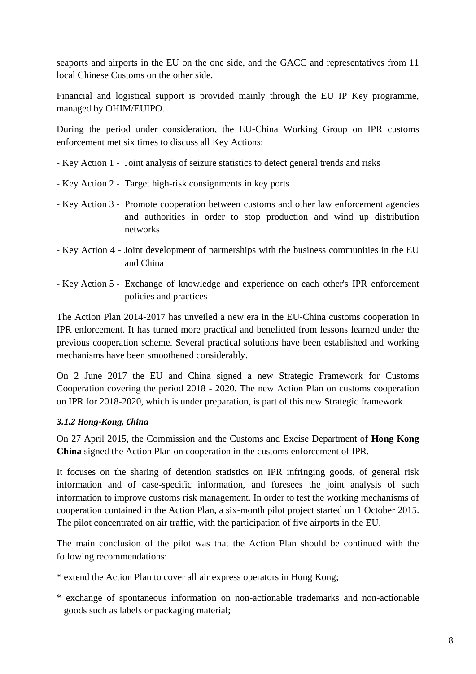seaports and airports in the EU on the one side, and the GACC and representatives from 11 local Chinese Customs on the other side.

Financial and logistical support is provided mainly through the EU IP Key programme, managed by OHIM/EUIPO.

During the period under consideration, the EU-China Working Group on IPR customs enforcement met six times to discuss all Key Actions:

- Key Action 1 Joint analysis of seizure statistics to detect general trends and risks
- Key Action 2 Target high-risk consignments in key ports
- Key Action 3 Promote cooperation between customs and other law enforcement agencies and authorities in order to stop production and wind up distribution networks
- Key Action 4 Joint development of partnerships with the business communities in the EU and China
- Key Action 5 Exchange of knowledge and experience on each other's IPR enforcement policies and practices

The Action Plan 2014-2017 has unveiled a new era in the EU-China customs cooperation in IPR enforcement. It has turned more practical and benefitted from lessons learned under the previous cooperation scheme. Several practical solutions have been established and working mechanisms have been smoothened considerably.

On 2 June 2017 the EU and China signed a new Strategic Framework for Customs Cooperation covering the period 2018 - 2020. The new Action Plan on customs cooperation on IPR for 2018-2020, which is under preparation, is part of this new Strategic framework.

#### <span id="page-8-0"></span>*3.1.2 Hong-Kong, China*

On 27 April 2015, the Commission and the Customs and Excise Department of **Hong Kong China** signed the Action Plan on cooperation in the customs enforcement of IPR.

It focuses on the sharing of detention statistics on IPR infringing goods, of general risk information and of case-specific information, and foresees the joint analysis of such information to improve customs risk management. In order to test the working mechanisms of cooperation contained in the Action Plan, a six-month pilot project started on 1 October 2015. The pilot concentrated on air traffic, with the participation of five airports in the EU.

The main conclusion of the pilot was that the Action Plan should be continued with the following recommendations:

- \* extend the Action Plan to cover all air express operators in Hong Kong;
- \* exchange of spontaneous information on non-actionable trademarks and non-actionable goods such as labels or packaging material;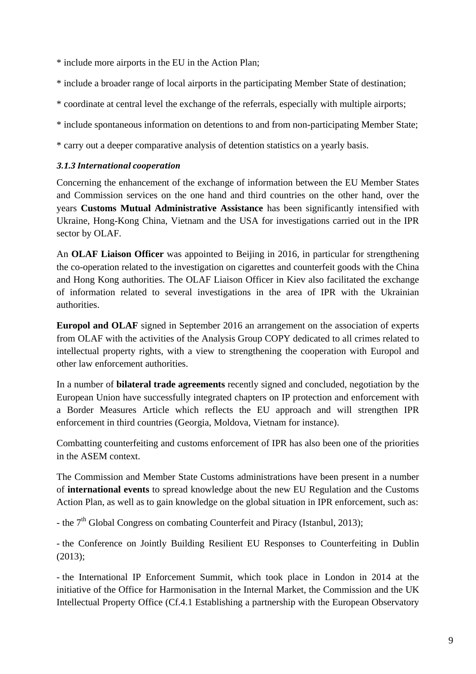\* include more airports in the EU in the Action Plan;

\* include a broader range of local airports in the participating Member State of destination;

\* coordinate at central level the exchange of the referrals, especially with multiple airports;

\* include spontaneous information on detentions to and from non-participating Member State;

\* carry out a deeper comparative analysis of detention statistics on a yearly basis.

#### <span id="page-9-0"></span>*3.1.3 International cooperation*

Concerning the enhancement of the exchange of information between the EU Member States and Commission services on the one hand and third countries on the other hand, over the years **Customs Mutual Administrative Assistance** has been significantly intensified with Ukraine, Hong-Kong China, Vietnam and the USA for investigations carried out in the IPR sector by OLAF.

An **OLAF Liaison Officer** was appointed to Beijing in 2016, in particular for strengthening the co-operation related to the investigation on cigarettes and counterfeit goods with the China and Hong Kong authorities. The OLAF Liaison Officer in Kiev also facilitated the exchange of information related to several investigations in the area of IPR with the Ukrainian authorities.

**Europol and OLAF** signed in September 2016 an arrangement on the association of experts from OLAF with the activities of the Analysis Group COPY dedicated to all crimes related to intellectual property rights, with a view to strengthening the cooperation with Europol and other law enforcement authorities.

In a number of **bilateral trade agreements** recently signed and concluded, negotiation by the European Union have successfully integrated chapters on IP protection and enforcement with a Border Measures Article which reflects the EU approach and will strengthen IPR enforcement in third countries (Georgia, Moldova, Vietnam for instance).

Combatting counterfeiting and customs enforcement of IPR has also been one of the priorities in the ASEM context.

The Commission and Member State Customs administrations have been present in a number of **international events** to spread knowledge about the new EU Regulation and the Customs Action Plan, as well as to gain knowledge on the global situation in IPR enforcement, such as:

- the 7<sup>th</sup> Global Congress on combating Counterfeit and Piracy (Istanbul, 2013);

- the Conference on Jointly Building Resilient EU Responses to Counterfeiting in Dublin (2013);

- the International IP Enforcement Summit, which took place in London in 2014 at the initiative of the Office for Harmonisation in the Internal Market, the Commission and the UK Intellectual Property Office (Cf.4.1 Establishing a partnership with the European Observatory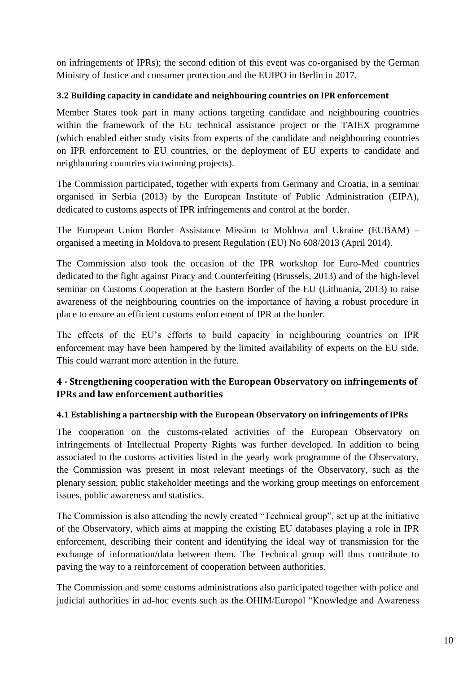on infringements of IPRs); the second edition of this event was co-organised by the German Ministry of Justice and consumer protection and the EUIPO in Berlin in 2017.

## <span id="page-10-0"></span>**3.2 Building capacity in candidate and neighbouring countries on IPR enforcement**

Member States took part in many actions targeting candidate and neighbouring countries within the framework of the EU technical assistance project or the TAIEX programme (which enabled either study visits from experts of the candidate and neighbouring countries on IPR enforcement to EU countries, or the deployment of EU experts to candidate and neighbouring countries via twinning projects).

The Commission participated, together with experts from Germany and Croatia, in a seminar organised in Serbia (2013) by the European Institute of Public Administration (EIPA), dedicated to customs aspects of IPR infringements and control at the border.

The European Union Border Assistance Mission to Moldova and Ukraine (EUBAM) – organised a meeting in Moldova to present Regulation (EU) No 608/2013 (April 2014).

The Commission also took the occasion of the IPR workshop for Euro-Med countries dedicated to the fight against Piracy and Counterfeiting (Brussels, 2013) and of the high-level seminar on Customs Cooperation at the Eastern Border of the EU (Lithuania, 2013) to raise awareness of the neighbouring countries on the importance of having a robust procedure in place to ensure an efficient customs enforcement of IPR at the border.

The effects of the EU's efforts to build capacity in neighbouring countries on IPR enforcement may have been hampered by the limited availability of experts on the EU side. This could warrant more attention in the future.

# <span id="page-10-1"></span>**4 - Strengthening cooperation with the European Observatory on infringements of IPRs and law enforcement authorities**

## <span id="page-10-2"></span>**4.1 Establishing a partnership with the European Observatory on infringements of IPRs**

The cooperation on the customs-related activities of the European Observatory on infringements of Intellectual Property Rights was further developed. In addition to being associated to the customs activities listed in the yearly work programme of the Observatory, the Commission was present in most relevant meetings of the Observatory, such as the plenary session, public stakeholder meetings and the working group meetings on enforcement issues, public awareness and statistics.

The Commission is also attending the newly created "Technical group", set up at the initiative of the Observatory, which aims at mapping the existing EU databases playing a role in IPR enforcement, describing their content and identifying the ideal way of transmission for the exchange of information/data between them. The Technical group will thus contribute to paving the way to a reinforcement of cooperation between authorities.

The Commission and some customs administrations also participated together with police and judicial authorities in ad-hoc events such as the OHIM/Europol "Knowledge and Awareness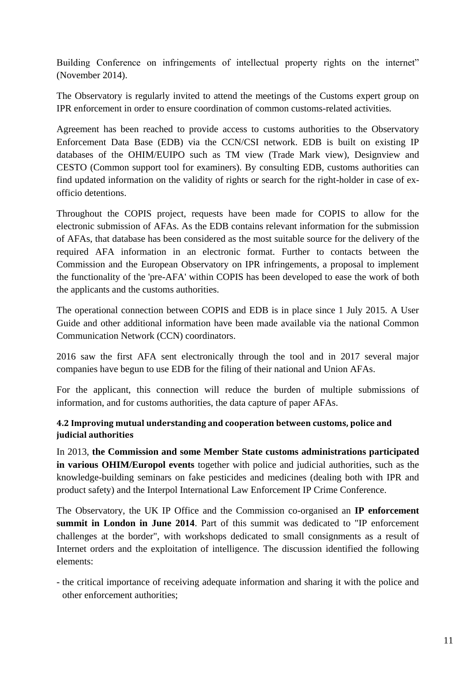Building Conference on infringements of intellectual property rights on the internet" (November 2014).

The Observatory is regularly invited to attend the meetings of the Customs expert group on IPR enforcement in order to ensure coordination of common customs-related activities.

Agreement has been reached to provide access to customs authorities to the Observatory Enforcement Data Base (EDB) via the CCN/CSI network. EDB is built on existing IP databases of the OHIM/EUIPO such as TM view (Trade Mark view), Designview and CESTO (Common support tool for examiners). By consulting EDB, customs authorities can find updated information on the validity of rights or search for the right-holder in case of exofficio detentions.

Throughout the COPIS project, requests have been made for COPIS to allow for the electronic submission of AFAs. As the EDB contains relevant information for the submission of AFAs, that database has been considered as the most suitable source for the delivery of the required AFA information in an electronic format. Further to contacts between the Commission and the European Observatory on IPR infringements, a proposal to implement the functionality of the 'pre-AFA' within COPIS has been developed to ease the work of both the applicants and the customs authorities.

The operational connection between COPIS and EDB is in place since 1 July 2015. A User Guide and other additional information have been made available via the national Common Communication Network (CCN) coordinators.

2016 saw the first AFA sent electronically through the tool and in 2017 several major companies have begun to use EDB for the filing of their national and Union AFAs.

For the applicant, this connection will reduce the burden of multiple submissions of information, and for customs authorities, the data capture of paper AFAs.

## <span id="page-11-0"></span>**4.2 Improving mutual understanding and cooperation between customs, police and judicial authorities**

In 2013, **the Commission and some Member State customs administrations participated in various OHIM/Europol events** together with police and judicial authorities, such as the knowledge-building seminars on fake pesticides and medicines (dealing both with IPR and product safety) and the Interpol International Law Enforcement IP Crime Conference.

The Observatory, the UK IP Office and the Commission co-organised an **IP enforcement summit in London in June 2014**. Part of this summit was dedicated to "IP enforcement challenges at the border", with workshops dedicated to small consignments as a result of Internet orders and the exploitation of intelligence. The discussion identified the following elements:

- the critical importance of receiving adequate information and sharing it with the police and other enforcement authorities;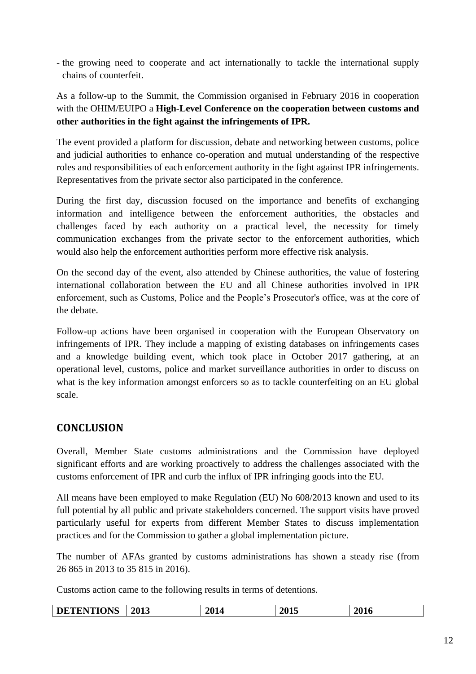- the growing need to cooperate and act internationally to tackle the international supply chains of counterfeit.

# As a follow-up to the Summit, the Commission organised in February 2016 in cooperation with the OHIM/EUIPO a **High-Level Conference on the cooperation between customs and other authorities in the fight against the infringements of IPR.**

The event provided a platform for discussion, debate and networking between customs, police and judicial authorities to enhance co-operation and mutual understanding of the respective roles and responsibilities of each enforcement authority in the fight against IPR infringements. Representatives from the private sector also participated in the conference.

During the first day, discussion focused on the importance and benefits of exchanging information and intelligence between the enforcement authorities, the obstacles and challenges faced by each authority on a practical level, the necessity for timely communication exchanges from the private sector to the enforcement authorities, which would also help the enforcement authorities perform more effective risk analysis.

On the second day of the event, also attended by Chinese authorities, the value of fostering international collaboration between the EU and all Chinese authorities involved in IPR enforcement, such as Customs, Police and the People's Prosecutor's office, was at the core of the debate.

Follow-up actions have been organised in cooperation with the European Observatory on infringements of IPR. They include a mapping of existing databases on infringements cases and a knowledge building event, which took place in October 2017 gathering, at an operational level, customs, police and market surveillance authorities in order to discuss on what is the key information amongst enforcers so as to tackle counterfeiting on an EU global scale.

# <span id="page-12-0"></span>**CONCLUSION**

Overall, Member State customs administrations and the Commission have deployed significant efforts and are working proactively to address the challenges associated with the customs enforcement of IPR and curb the influx of IPR infringing goods into the EU.

All means have been employed to make Regulation (EU) No 608/2013 known and used to its full potential by all public and private stakeholders concerned. The support visits have proved particularly useful for experts from different Member States to discuss implementation practices and for the Commission to gather a global implementation picture.

The number of AFAs granted by customs administrations has shown a steady rise (from 26 865 in 2013 to 35 815 in 2016).

Customs action came to the following results in terms of detentions.

| <b>DETENTIONS</b> | 2013 | 2014 | 2015 | 2016 |
|-------------------|------|------|------|------|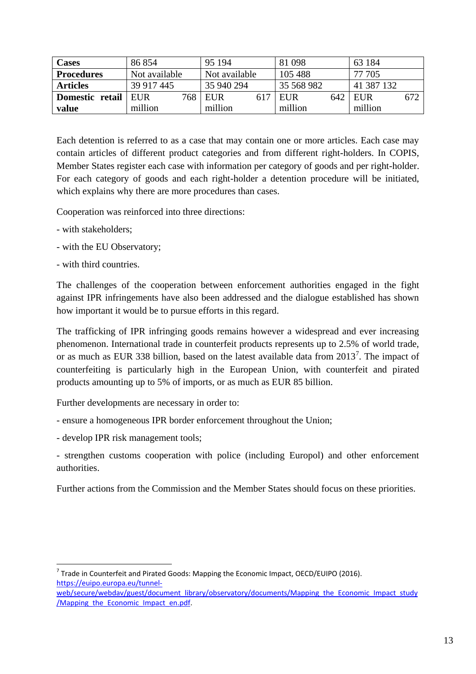| <b>Cases</b>      | 86 854        |     | 95 194        | 81 0 98    |     | 63 184     |     |
|-------------------|---------------|-----|---------------|------------|-----|------------|-----|
| <b>Procedures</b> | Not available |     | Not available | 105 488    |     | 77 705     |     |
| <b>Articles</b>   | 39 917 445    |     | 35 940 294    | 35 568 982 |     | 41 387 132 |     |
| Domestic retail   | EUR           | 768 | EUR           | EUR        | 642 | EUR        | 672 |
| value             | million       |     | million       | million    |     | million    |     |

Each detention is referred to as a case that may contain one or more articles. Each case may contain articles of different product categories and from different right-holders. In COPIS, Member States register each case with information per category of goods and per right-holder. For each category of goods and each right-holder a detention procedure will be initiated, which explains why there are more procedures than cases.

Cooperation was reinforced into three directions:

- with stakeholders;
- with the EU Observatory;
- with third countries.

The challenges of the cooperation between enforcement authorities engaged in the fight against IPR infringements have also been addressed and the dialogue established has shown how important it would be to pursue efforts in this regard.

The trafficking of IPR infringing goods remains however a widespread and ever increasing phenomenon. International trade in counterfeit products represents up to 2.5% of world trade, or as much as EUR 338 billion, based on the latest available data from  $2013<sup>7</sup>$ . The impact of counterfeiting is particularly high in the European Union, with counterfeit and pirated products amounting up to 5% of imports, or as much as EUR 85 billion.

Further developments are necessary in order to:

- ensure a homogeneous IPR border enforcement throughout the Union;
- develop IPR risk management tools;

- strengthen customs cooperation with police (including Europol) and other enforcement authorities.

Further actions from the Commission and the Member States should focus on these priorities.

**.**  $^7$  Trade in Counterfeit and Pirated Goods: Mapping the Economic Impact, OECD/EUIPO (2016). [https://euipo.europa.eu/tunnel-](https://euipo.europa.eu/tunnel-web/secure/webdav/guest/document_library/observatory/documents/Mapping_the_Economic_Impact_study/Mapping_the_Economic_Impact_en.pdf)

[web/secure/webdav/guest/document\\_library/observatory/documents/Mapping\\_the\\_Economic\\_Impact\\_study](https://euipo.europa.eu/tunnel-web/secure/webdav/guest/document_library/observatory/documents/Mapping_the_Economic_Impact_study/Mapping_the_Economic_Impact_en.pdf) [/Mapping\\_the\\_Economic\\_Impact\\_en.pdf.](https://euipo.europa.eu/tunnel-web/secure/webdav/guest/document_library/observatory/documents/Mapping_the_Economic_Impact_study/Mapping_the_Economic_Impact_en.pdf)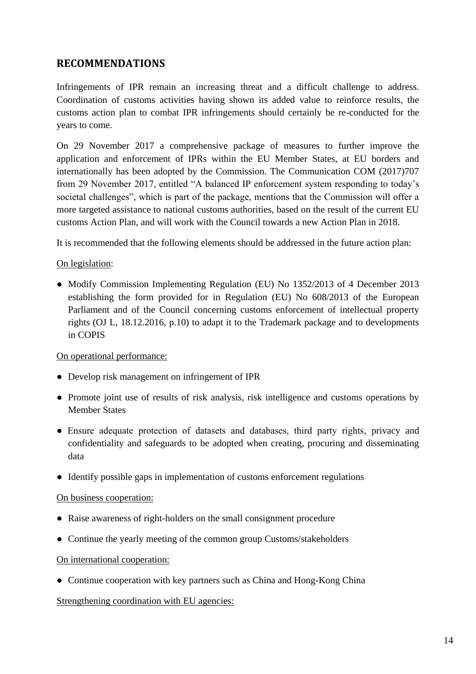# <span id="page-14-0"></span>**RECOMMENDATIONS**

Infringements of IPR remain an increasing threat and a difficult challenge to address. Coordination of customs activities having shown its added value to reinforce results, the customs action plan to combat IPR infringements should certainly be re-conducted for the years to come.

On 29 November 2017 a comprehensive package of measures to further improve the application and enforcement of IPRs within the EU Member States, at EU borders and internationally has been adopted by the Commission. The Communication COM (2017)707 from 29 November 2017, entitled "A balanced IP enforcement system responding to today's societal challenges", which is part of the package, mentions that the Commission will offer a more targeted assistance to national customs authorities, based on the result of the current EU customs Action Plan, and will work with the Council towards a new Action Plan in 2018.

It is recommended that the following elements should be addressed in the future action plan:

#### On legislation:

• Modify Commission Implementing Regulation (EU) No 1352/2013 of 4 December 2013 establishing the form provided for in Regulation (EU) No 608/2013 of the European Parliament and of the Council concerning customs enforcement of intellectual property rights (OJ L, 18.12.2016, p.10) to adapt it to the Trademark package and to developments in COPIS

#### On operational performance:

- Develop risk management on infringement of IPR
- Promote joint use of results of risk analysis, risk intelligence and customs operations by Member States
- Ensure adequate protection of datasets and databases, third party rights, privacy and confidentiality and safeguards to be adopted when creating, procuring and disseminating data
- Identify possible gaps in implementation of customs enforcement regulations

#### On business cooperation:

- Raise awareness of right-holders on the small consignment procedure
- Continue the yearly meeting of the common group Customs/stakeholders

#### On international cooperation:

• Continue cooperation with key partners such as China and Hong-Kong China

#### Strengthening coordination with EU agencies: